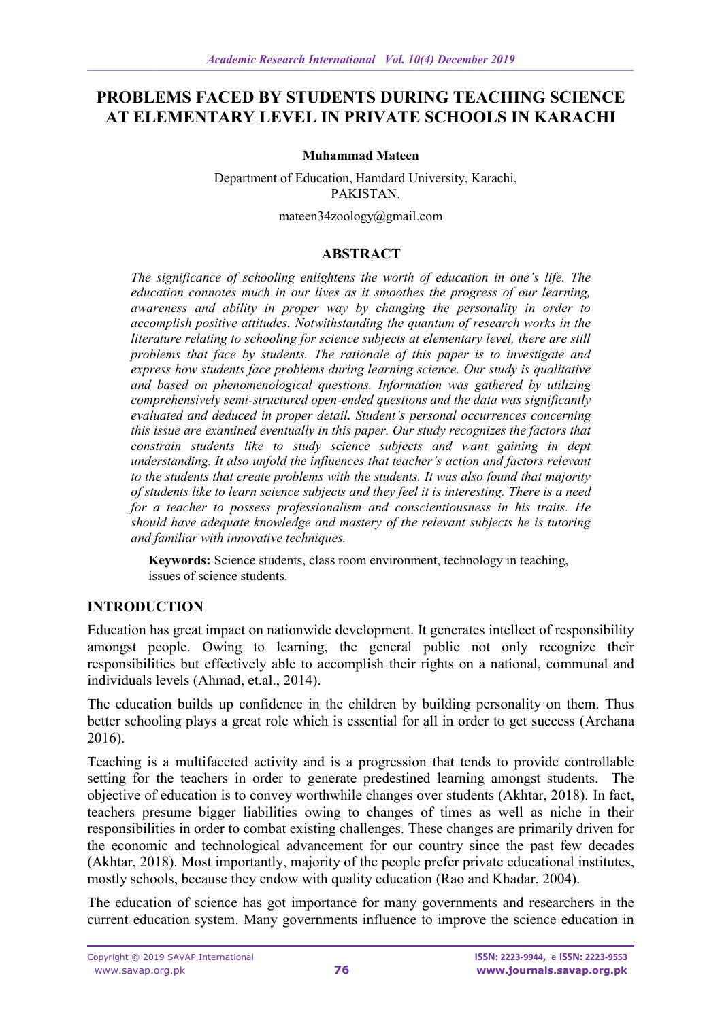# **PROBLEMS FACED BY STUDENTS DURING TEACHING SCIENCE AT ELEMENTARY LEVEL IN PRIVATE SCHOOLS IN KARACHI**

#### **Muhammad Mateen**

Department of Education, Hamdard University, Karachi, PAKISTAN.

mateen34zoology@gmail.com

### **ABSTRACT**

*The significance of schooling enlightens the worth of education in one's life. The education connotes much in our lives as it smoothes the progress of our learning, awareness and ability in proper way by changing the personality in order to accomplish positive attitudes. Notwithstanding the quantum of research works in the literature relating to schooling for science subjects at elementary level, there are still problems that face by students. The rationale of this paper is to investigate and express how students face problems during learning science. Our study is qualitative and based on phenomenological questions. Information was gathered by utilizing comprehensively semi-structured open-ended questions and the data was significantly evaluated and deduced in proper detail. Student's personal occurrences concerning this issue are examined eventually in this paper. Our study recognizes the factors that constrain students like to study science subjects and want gaining in dept understanding. It also unfold the influences that teacher's action and factors relevant to the students that create problems with the students. It was also found that majority of students like to learn science subjects and they feel it is interesting. There is a need for a teacher to possess professionalism and conscientiousness in his traits. He should have adequate knowledge and mastery of the relevant subjects he is tutoring and familiar with innovative techniques.*

**Keywords:** Science students, class room environment, technology in teaching, issues of science students.

### **INTRODUCTION**

Education has great impact on nationwide development. It generates intellect of responsibility amongst people. Owing to learning, the general public not only recognize their responsibilities but effectively able to accomplish their rights on a national, communal and individuals levels (Ahmad, et.al., 2014).

The education builds up confidence in the children by building personality on them. Thus better schooling plays a great role which is essential for all in order to get success (Archana 2016).

Teaching is a multifaceted activity and is a progression that tends to provide controllable setting for the teachers in order to generate predestined learning amongst students. The objective of education is to convey worthwhile changes over students (Akhtar, 2018). In fact, teachers presume bigger liabilities owing to changes of times as well as niche in their responsibilities in order to combat existing challenges. These changes are primarily driven for the economic and technological advancement for our country since the past few decades (Akhtar, 2018). Most importantly, majority of the people prefer private educational institutes, mostly schools, because they endow with quality education (Rao and Khadar, 2004).

The education of science has got importance for many governments and researchers in the current education system. Many governments influence to improve the science education in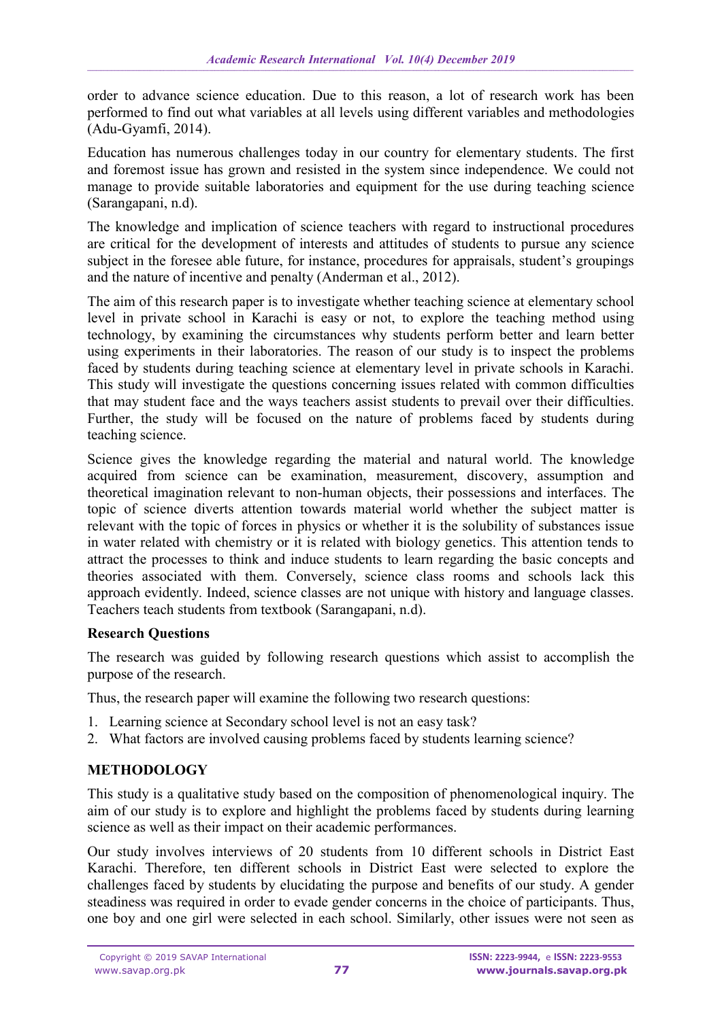order to advance science education. Due to this reason, a lot of research work has been performed to find out what variables at all levels using different variables and methodologies (Adu-Gyamfi, 2014).

Education has numerous challenges today in our country for elementary students. The first and foremost issue has grown and resisted in the system since independence. We could not manage to provide suitable laboratories and equipment for the use during teaching science (Sarangapani, n.d).

The knowledge and implication of science teachers with regard to instructional procedures are critical for the development of interests and attitudes of students to pursue any science subject in the foresee able future, for instance, procedures for appraisals, student's groupings and the nature of incentive and penalty (Anderman et al., 2012).

The aim of this research paper is to investigate whether teaching science at elementary school level in private school in Karachi is easy or not, to explore the teaching method using technology, by examining the circumstances why students perform better and learn better using experiments in their laboratories. The reason of our study is to inspect the problems faced by students during teaching science at elementary level in private schools in Karachi. This study will investigate the questions concerning issues related with common difficulties that may student face and the ways teachers assist students to prevail over their difficulties. Further, the study will be focused on the nature of problems faced by students during teaching science.

Science gives the knowledge regarding the material and natural world. The knowledge acquired from science can be examination, measurement, discovery, assumption and theoretical imagination relevant to non-human objects, their possessions and interfaces. The topic of science diverts attention towards material world whether the subject matter is relevant with the topic of forces in physics or whether it is the solubility of substances issue in water related with chemistry or it is related with biology genetics. This attention tends to attract the processes to think and induce students to learn regarding the basic concepts and theories associated with them. Conversely, science class rooms and schools lack this approach evidently. Indeed, science classes are not unique with history and language classes. Teachers teach students from textbook (Sarangapani, n.d).

### **Research Questions**

The research was guided by following research questions which assist to accomplish the purpose of the research.

Thus, the research paper will examine the following two research questions:

- 1. Learning science at Secondary school level is not an easy task?
- 2. What factors are involved causing problems faced by students learning science?

### **METHODOLOGY**

This study is a qualitative study based on the composition of phenomenological inquiry. The aim of our study is to explore and highlight the problems faced by students during learning science as well as their impact on their academic performances.

Our study involves interviews of 20 students from 10 different schools in District East Karachi. Therefore, ten different schools in District East were selected to explore the challenges faced by students by elucidating the purpose and benefits of our study. A gender steadiness was required in order to evade gender concerns in the choice of participants. Thus, one boy and one girl were selected in each school. Similarly, other issues were not seen as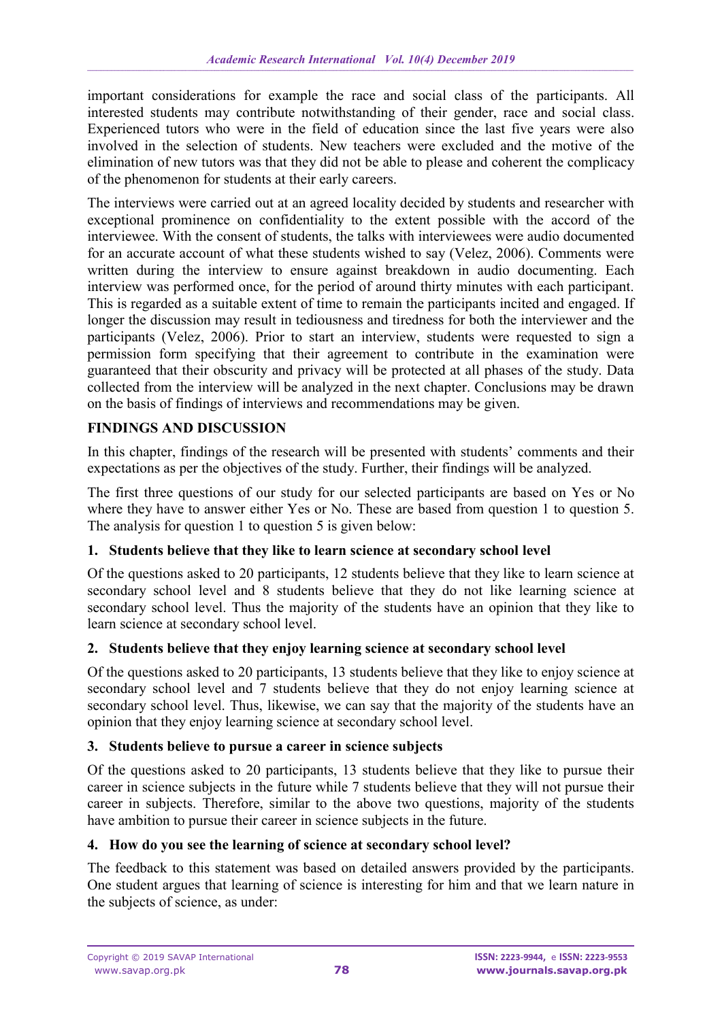important considerations for example the race and social class of the participants. All interested students may contribute notwithstanding of their gender, race and social class. Experienced tutors who were in the field of education since the last five years were also involved in the selection of students. New teachers were excluded and the motive of the elimination of new tutors was that they did not be able to please and coherent the complicacy of the phenomenon for students at their early careers.

The interviews were carried out at an agreed locality decided by students and researcher with exceptional prominence on confidentiality to the extent possible with the accord of the interviewee. With the consent of students, the talks with interviewees were audio documented for an accurate account of what these students wished to say (Velez, 2006). Comments were written during the interview to ensure against breakdown in audio documenting. Each interview was performed once, for the period of around thirty minutes with each participant. This is regarded as a suitable extent of time to remain the participants incited and engaged. If longer the discussion may result in tediousness and tiredness for both the interviewer and the participants (Velez, 2006). Prior to start an interview, students were requested to sign a permission form specifying that their agreement to contribute in the examination were guaranteed that their obscurity and privacy will be protected at all phases of the study. Data collected from the interview will be analyzed in the next chapter. Conclusions may be drawn on the basis of findings of interviews and recommendations may be given.

## **FINDINGS AND DISCUSSION**

In this chapter, findings of the research will be presented with students' comments and their expectations as per the objectives of the study. Further, their findings will be analyzed.

The first three questions of our study for our selected participants are based on Yes or No where they have to answer either Yes or No. These are based from question 1 to question 5. The analysis for question 1 to question 5 is given below:

## **1. Students believe that they like to learn science at secondary school level**

Of the questions asked to 20 participants, 12 students believe that they like to learn science at secondary school level and 8 students believe that they do not like learning science at secondary school level. Thus the majority of the students have an opinion that they like to learn science at secondary school level.

## **2. Students believe that they enjoy learning science at secondary school level**

Of the questions asked to 20 participants, 13 students believe that they like to enjoy science at secondary school level and 7 students believe that they do not enjoy learning science at secondary school level. Thus, likewise, we can say that the majority of the students have an opinion that they enjoy learning science at secondary school level.

## **3. Students believe to pursue a career in science subjects**

Of the questions asked to 20 participants, 13 students believe that they like to pursue their career in science subjects in the future while 7 students believe that they will not pursue their career in subjects. Therefore, similar to the above two questions, majority of the students have ambition to pursue their career in science subjects in the future.

## **4. How do you see the learning of science at secondary school level?**

The feedback to this statement was based on detailed answers provided by the participants. One student argues that learning of science is interesting for him and that we learn nature in the subjects of science, as under: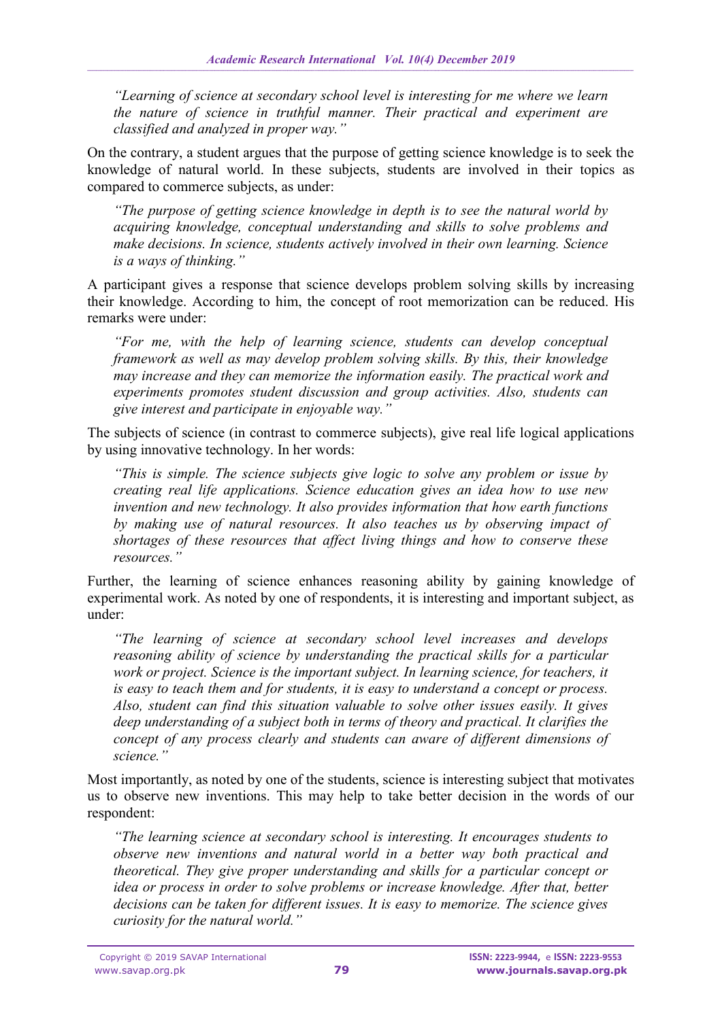*"Learning of science at secondary school level is interesting for me where we learn the nature of science in truthful manner. Their practical and experiment are classified and analyzed in proper way."*

On the contrary, a student argues that the purpose of getting science knowledge is to seek the knowledge of natural world. In these subjects, students are involved in their topics as compared to commerce subjects, as under:

*"The purpose of getting science knowledge in depth is to see the natural world by acquiring knowledge, conceptual understanding and skills to solve problems and make decisions. In science, students actively involved in their own learning. Science is a ways of thinking."*

A participant gives a response that science develops problem solving skills by increasing their knowledge. According to him, the concept of root memorization can be reduced. His remarks were under:

*"For me, with the help of learning science, students can develop conceptual framework as well as may develop problem solving skills. By this, their knowledge may increase and they can memorize the information easily. The practical work and experiments promotes student discussion and group activities. Also, students can give interest and participate in enjoyable way."*

The subjects of science (in contrast to commerce subjects), give real life logical applications by using innovative technology. In her words:

*"This is simple. The science subjects give logic to solve any problem or issue by creating real life applications. Science education gives an idea how to use new invention and new technology. It also provides information that how earth functions by making use of natural resources. It also teaches us by observing impact of shortages of these resources that affect living things and how to conserve these resources."*

Further, the learning of science enhances reasoning ability by gaining knowledge of experimental work. As noted by one of respondents, it is interesting and important subject, as under:

*"The learning of science at secondary school level increases and develops reasoning ability of science by understanding the practical skills for a particular work or project. Science is the important subject. In learning science, for teachers, it is easy to teach them and for students, it is easy to understand a concept or process. Also, student can find this situation valuable to solve other issues easily. It gives deep understanding of a subject both in terms of theory and practical. It clarifies the concept of any process clearly and students can aware of different dimensions of science."*

Most importantly, as noted by one of the students, science is interesting subject that motivates us to observe new inventions. This may help to take better decision in the words of our respondent:

*"The learning science at secondary school is interesting. It encourages students to observe new inventions and natural world in a better way both practical and theoretical. They give proper understanding and skills for a particular concept or idea or process in order to solve problems or increase knowledge. After that, better decisions can be taken for different issues. It is easy to memorize. The science gives curiosity for the natural world."*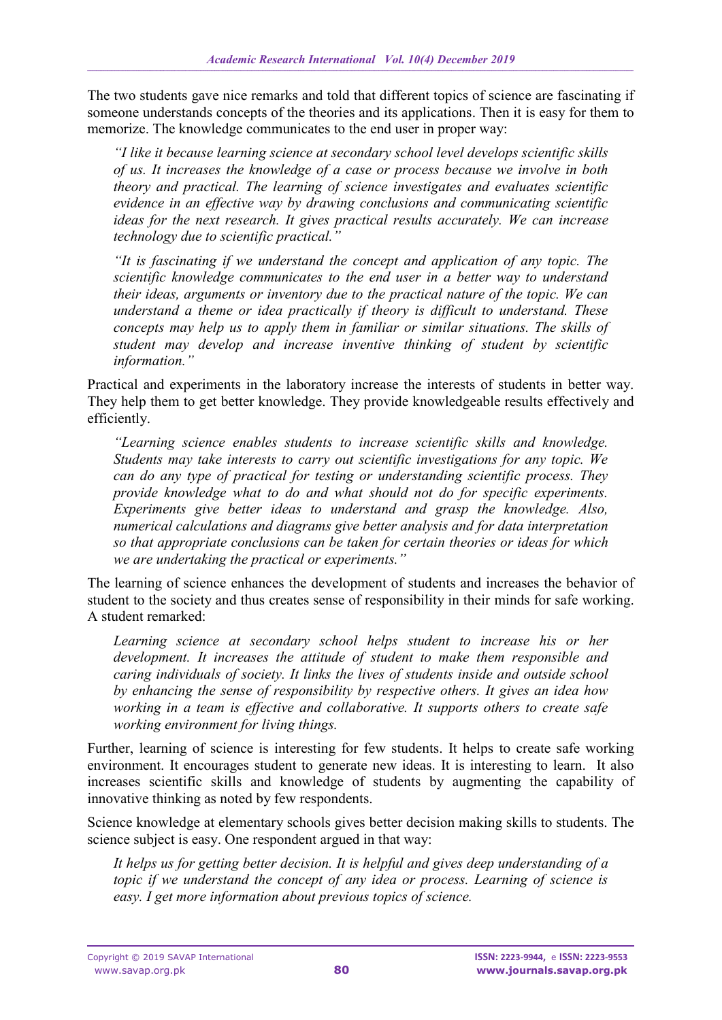The two students gave nice remarks and told that different topics of science are fascinating if someone understands concepts of the theories and its applications. Then it is easy for them to memorize. The knowledge communicates to the end user in proper way:

*"I like it because learning science at secondary school level develops scientific skills of us. It increases the knowledge of a case or process because we involve in both theory and practical. The learning of science investigates and evaluates scientific evidence in an effective way by drawing conclusions and communicating scientific ideas for the next research. It gives practical results accurately. We can increase technology due to scientific practical."*

*"It is fascinating if we understand the concept and application of any topic. The scientific knowledge communicates to the end user in a better way to understand their ideas, arguments or inventory due to the practical nature of the topic. We can understand a theme or idea practically if theory is difficult to understand. These concepts may help us to apply them in familiar or similar situations. The skills of student may develop and increase inventive thinking of student by scientific information."*

Practical and experiments in the laboratory increase the interests of students in better way. They help them to get better knowledge. They provide knowledgeable results effectively and efficiently.

*"Learning science enables students to increase scientific skills and knowledge. Students may take interests to carry out scientific investigations for any topic. We can do any type of practical for testing or understanding scientific process. They provide knowledge what to do and what should not do for specific experiments. Experiments give better ideas to understand and grasp the knowledge. Also, numerical calculations and diagrams give better analysis and for data interpretation so that appropriate conclusions can be taken for certain theories or ideas for which we are undertaking the practical or experiments."*

The learning of science enhances the development of students and increases the behavior of student to the society and thus creates sense of responsibility in their minds for safe working. A student remarked:

Learning science at secondary school helps student to increase his or her *development. It increases the attitude of student to make them responsible and caring individuals of society. It links the lives of students inside and outside school by enhancing the sense of responsibility by respective others. It gives an idea how working in a team is effective and collaborative. It supports others to create safe working environment for living things.*

Further, learning of science is interesting for few students. It helps to create safe working environment. It encourages student to generate new ideas. It is interesting to learn. It also increases scientific skills and knowledge of students by augmenting the capability of innovative thinking as noted by few respondents.

Science knowledge at elementary schools gives better decision making skills to students. The science subject is easy. One respondent argued in that way:

*It helps us for getting better decision. It is helpful and gives deep understanding of a topic if we understand the concept of any idea or process. Learning of science is easy. I get more information about previous topics of science.*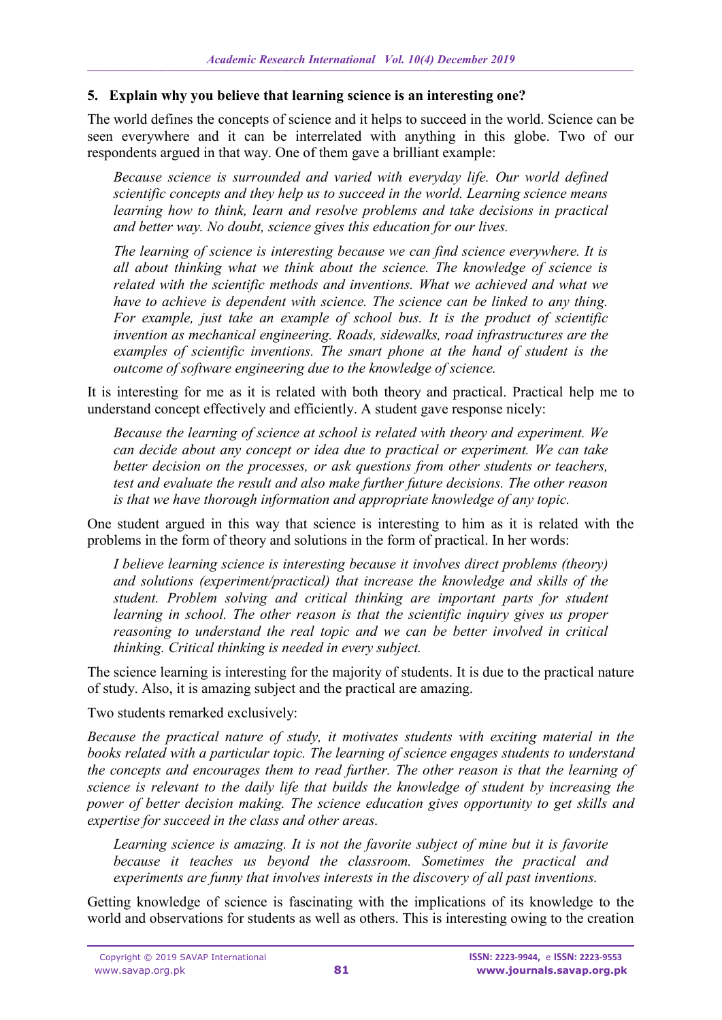### **5. Explain why you believe that learning science is an interesting one?**

The world defines the concepts of science and it helps to succeed in the world. Science can be seen everywhere and it can be interrelated with anything in this globe. Two of our respondents argued in that way. One of them gave a brilliant example:

*Because science is surrounded and varied with everyday life. Our world defined scientific concepts and they help us to succeed in the world. Learning science means learning how to think, learn and resolve problems and take decisions in practical and better way. No doubt, science gives this education for our lives.*

*The learning of science is interesting because we can find science everywhere. It is all about thinking what we think about the science. The knowledge of science is related with the scientific methods and inventions. What we achieved and what we have to achieve is dependent with science. The science can be linked to any thing. For example, just take an example of school bus. It is the product of scientific invention as mechanical engineering. Roads, sidewalks, road infrastructures are the examples of scientific inventions. The smart phone at the hand of student is the outcome of software engineering due to the knowledge of science.* 

It is interesting for me as it is related with both theory and practical. Practical help me to understand concept effectively and efficiently. A student gave response nicely:

*Because the learning of science at school is related with theory and experiment. We can decide about any concept or idea due to practical or experiment. We can take better decision on the processes, or ask questions from other students or teachers, test and evaluate the result and also make further future decisions. The other reason is that we have thorough information and appropriate knowledge of any topic.* 

One student argued in this way that science is interesting to him as it is related with the problems in the form of theory and solutions in the form of practical. In her words:

*I believe learning science is interesting because it involves direct problems (theory) and solutions (experiment/practical) that increase the knowledge and skills of the student. Problem solving and critical thinking are important parts for student learning in school. The other reason is that the scientific inquiry gives us proper reasoning to understand the real topic and we can be better involved in critical thinking. Critical thinking is needed in every subject.*

The science learning is interesting for the majority of students. It is due to the practical nature of study. Also, it is amazing subject and the practical are amazing.

Two students remarked exclusively:

*Because the practical nature of study, it motivates students with exciting material in the books related with a particular topic. The learning of science engages students to understand the concepts and encourages them to read further. The other reason is that the learning of science is relevant to the daily life that builds the knowledge of student by increasing the power of better decision making. The science education gives opportunity to get skills and expertise for succeed in the class and other areas.*

Learning science is amazing. It is not the favorite subject of mine but it is favorite *because it teaches us beyond the classroom. Sometimes the practical and experiments are funny that involves interests in the discovery of all past inventions.*

Getting knowledge of science is fascinating with the implications of its knowledge to the world and observations for students as well as others. This is interesting owing to the creation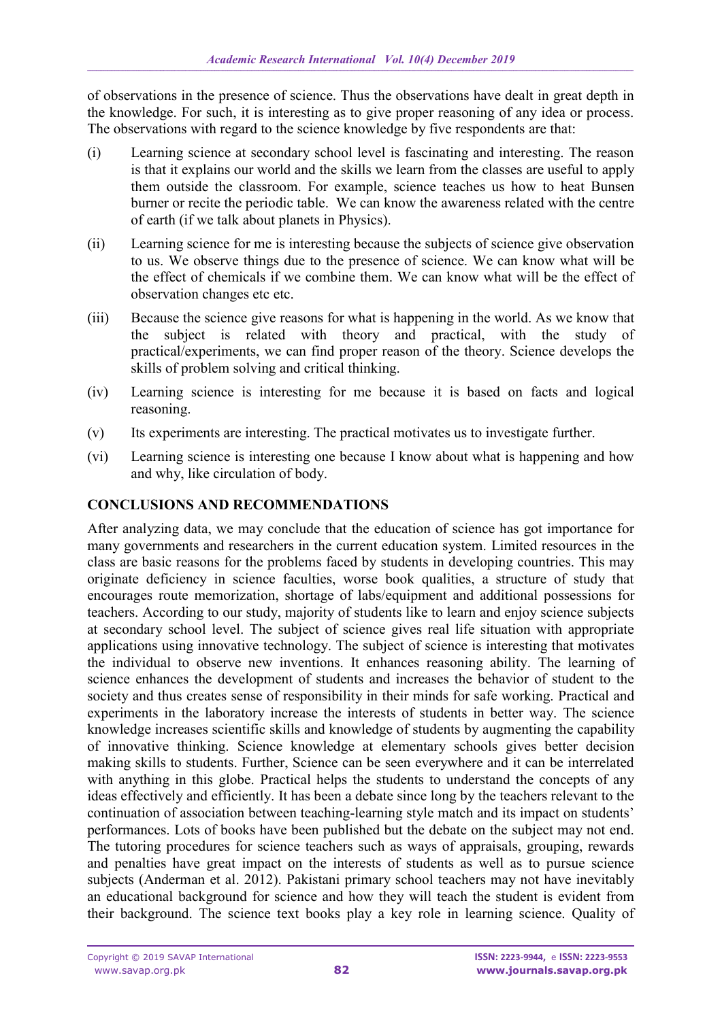of observations in the presence of science. Thus the observations have dealt in great depth in the knowledge. For such, it is interesting as to give proper reasoning of any idea or process. The observations with regard to the science knowledge by five respondents are that:

- (i) Learning science at secondary school level is fascinating and interesting. The reason is that it explains our world and the skills we learn from the classes are useful to apply them outside the classroom. For example, science teaches us how to heat Bunsen burner or recite the periodic table. We can know the awareness related with the centre of earth (if we talk about planets in Physics).
- (ii) Learning science for me is interesting because the subjects of science give observation to us. We observe things due to the presence of science. We can know what will be the effect of chemicals if we combine them. We can know what will be the effect of observation changes etc etc.
- (iii) Because the science give reasons for what is happening in the world. As we know that the subject is related with theory and practical, with the study of practical/experiments, we can find proper reason of the theory. Science develops the skills of problem solving and critical thinking.
- (iv) Learning science is interesting for me because it is based on facts and logical reasoning.
- (v) Its experiments are interesting. The practical motivates us to investigate further.
- (vi) Learning science is interesting one because I know about what is happening and how and why, like circulation of body.

## **CONCLUSIONS AND RECOMMENDATIONS**

After analyzing data, we may conclude that the education of science has got importance for many governments and researchers in the current education system. Limited resources in the class are basic reasons for the problems faced by students in developing countries. This may originate deficiency in science faculties, worse book qualities, a structure of study that encourages route memorization, shortage of labs/equipment and additional possessions for teachers. According to our study, majority of students like to learn and enjoy science subjects at secondary school level. The subject of science gives real life situation with appropriate applications using innovative technology. The subject of science is interesting that motivates the individual to observe new inventions. It enhances reasoning ability. The learning of science enhances the development of students and increases the behavior of student to the society and thus creates sense of responsibility in their minds for safe working. Practical and experiments in the laboratory increase the interests of students in better way. The science knowledge increases scientific skills and knowledge of students by augmenting the capability of innovative thinking. Science knowledge at elementary schools gives better decision making skills to students. Further, Science can be seen everywhere and it can be interrelated with anything in this globe. Practical helps the students to understand the concepts of any ideas effectively and efficiently. It has been a debate since long by the teachers relevant to the continuation of association between teaching-learning style match and its impact on students' performances. Lots of books have been published but the debate on the subject may not end. The tutoring procedures for science teachers such as ways of appraisals, grouping, rewards and penalties have great impact on the interests of students as well as to pursue science subjects (Anderman et al. 2012). Pakistani primary school teachers may not have inevitably an educational background for science and how they will teach the student is evident from their background. The science text books play a key role in learning science. Quality of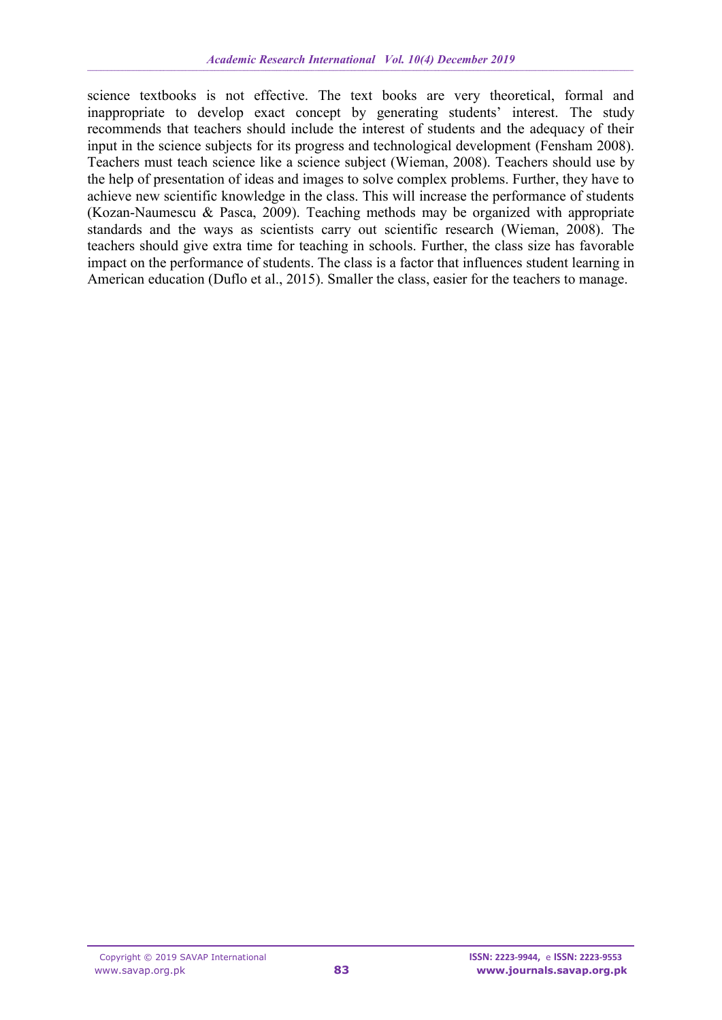science textbooks is not effective. The text books are very theoretical, formal and inappropriate to develop exact concept by generating students' interest. The study recommends that teachers should include the interest of students and the adequacy of their input in the science subjects for its progress and technological development (Fensham 2008). Teachers must teach science like a science subject (Wieman, 2008). Teachers should use by the help of presentation of ideas and images to solve complex problems. Further, they have to achieve new scientific knowledge in the class. This will increase the performance of students (Kozan-Naumescu & Pasca, 2009). Teaching methods may be organized with appropriate standards and the ways as scientists carry out scientific research (Wieman, 2008). The teachers should give extra time for teaching in schools. Further, the class size has favorable impact on the performance of students. The class is a factor that influences student learning in American education (Duflo et al., 2015). Smaller the class, easier for the teachers to manage.